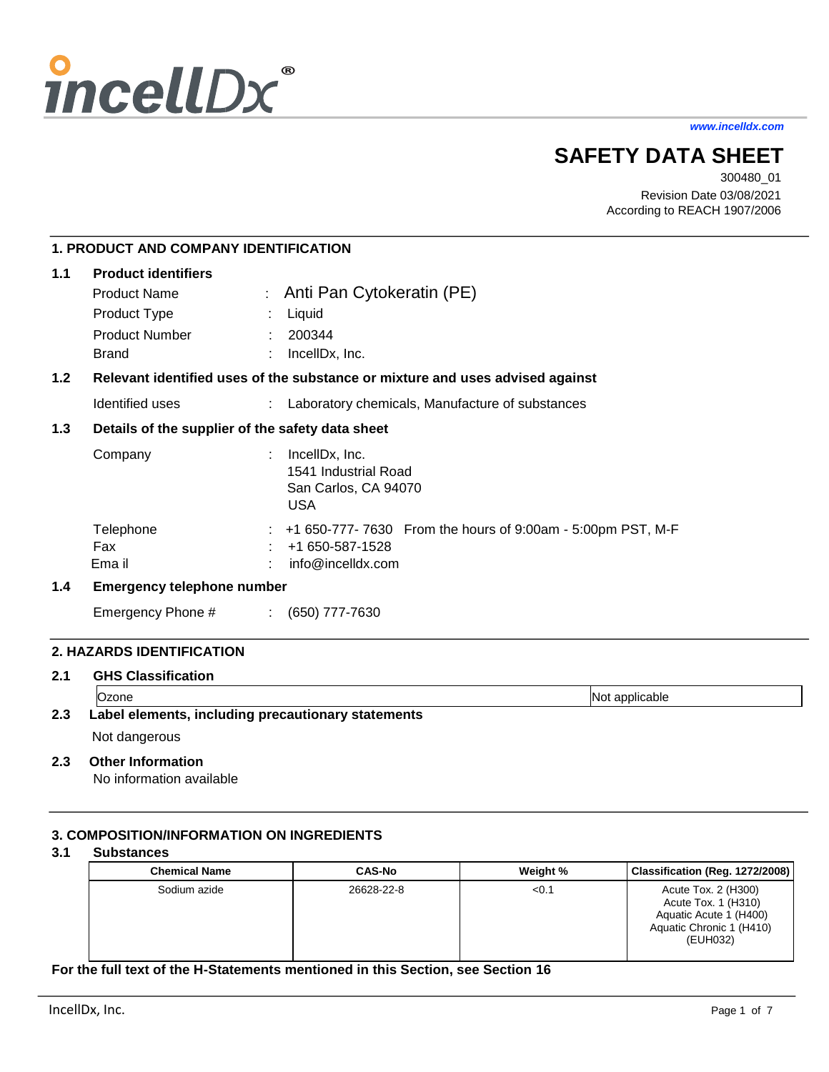

*www.incelldx.com*

# **SAFETY DATA SHEET**

300480\_01 Revision Date 03/08/2021 According to REACH 1907/2006

# **1. PRODUCT AND COMPANY IDENTIFICATION**

| 1.1              | <b>Product identifiers</b>                       |  |                                                                                                     |  |
|------------------|--------------------------------------------------|--|-----------------------------------------------------------------------------------------------------|--|
|                  | <b>Product Name</b>                              |  | : Anti Pan Cytokeratin (PE)                                                                         |  |
|                  | Product Type                                     |  | Liquid                                                                                              |  |
|                  | <b>Product Number</b>                            |  | 200344                                                                                              |  |
|                  | <b>Brand</b>                                     |  | IncellDx, Inc.                                                                                      |  |
| 1.2 <sub>2</sub> |                                                  |  | Relevant identified uses of the substance or mixture and uses advised against                       |  |
|                  | Identified uses                                  |  | Laboratory chemicals, Manufacture of substances                                                     |  |
| 1.3              | Details of the supplier of the safety data sheet |  |                                                                                                     |  |
|                  | Company                                          |  | IncellDx, Inc.<br>1541 Industrial Road<br>San Carlos, CA 94070<br><b>USA</b>                        |  |
|                  | Telephone<br>Fax<br>Ema il                       |  | +1 650-777- 7630 From the hours of 9:00am - 5:00pm PST, M-F<br>+1 650-587-1528<br>info@incelldx.com |  |
| 1.4              | <b>Emergency telephone number</b>                |  |                                                                                                     |  |

# Emergency Phone # : (650) 777-7630

# **2. HAZARDS IDENTIFICATION**

#### **2.1 GHS Classification**

|     | Ozone                                              | Not applicable |  |
|-----|----------------------------------------------------|----------------|--|
| 2.3 | Label elements, including precautionary statements |                |  |
|     |                                                    |                |  |

# Not dangerous

# **2.3 Other Information**

No information available

# **3. COMPOSITION/INFORMATION ON INGREDIENTS**

#### **3.1 Substances**

| <b>Chemical Name</b> | <b>CAS-No</b> | Weight % | Classification (Reg. 1272/2008)                                                                              |
|----------------------|---------------|----------|--------------------------------------------------------------------------------------------------------------|
| Sodium azide         | 26628-22-8    | < 0.1    | Acute Tox. 2 (H300)<br>Acute Tox. 1 (H310)<br>Aquatic Acute 1 (H400)<br>Aquatic Chronic 1 (H410)<br>(EUH032) |

# **For the full text of the H-Statements mentioned in this Section, see Section 16**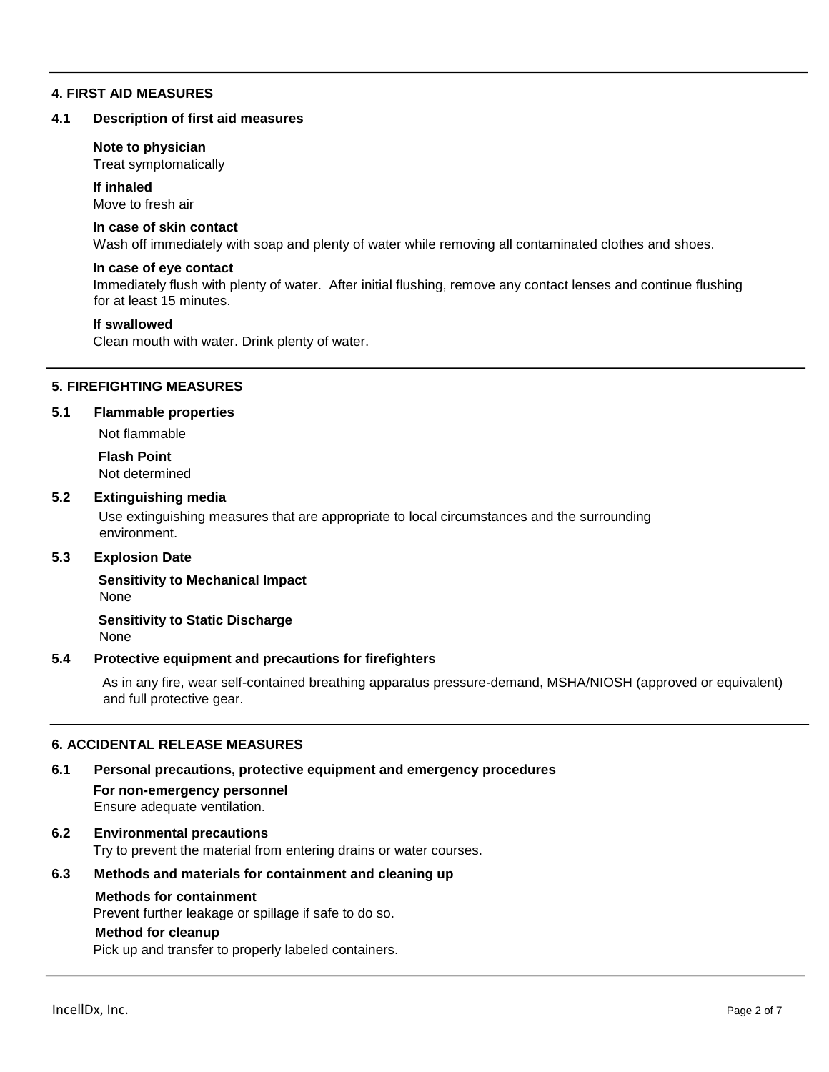### **4. FIRST AID MEASURES**

#### **4.1 Description of first aid measures**

#### **Note to physician**

Treat symptomatically

#### **If inhaled**

Move to fresh air

#### **In case of skin contact**

Wash off immediately with soap and plenty of water while removing all contaminated clothes and shoes.

#### **In case of eye contact**

Immediately flush with plenty of water. After initial flushing, remove any contact lenses and continue flushing for at least 15 minutes.

#### **If swallowed**

Clean mouth with water. Drink plenty of water.

#### **5. FIREFIGHTING MEASURES**

#### **5.1 Flammable properties**

Not flammable

**Flash Point** Not determined

#### **5.2 Extinguishing media**

Use extinguishing measures that are appropriate to local circumstances and the surrounding environment.

# **5.3 Explosion Date**

**Sensitivity to Mechanical Impact**  None

**Sensitivity to Static Discharge** 

None

#### **5.4 Protective equipment and precautions for firefighters**

As in any fire, wear self-contained breathing apparatus pressure-demand, MSHA/NIOSH (approved or equivalent) and full protective gear.

# **6. ACCIDENTAL RELEASE MEASURES**

#### **6.1 Personal precautions, protective equipment and emergency procedures**

**For non-emergency personnel**  Ensure adequate ventilation.

# **6.2 Environmental precautions**

Try to prevent the material from entering drains or water courses.

# **6.3 Methods and materials for containment and cleaning up**

#### **Methods for containment**

Prevent further leakage or spillage if safe to do so.

#### **Method for cleanup**

Pick up and transfer to properly labeled containers.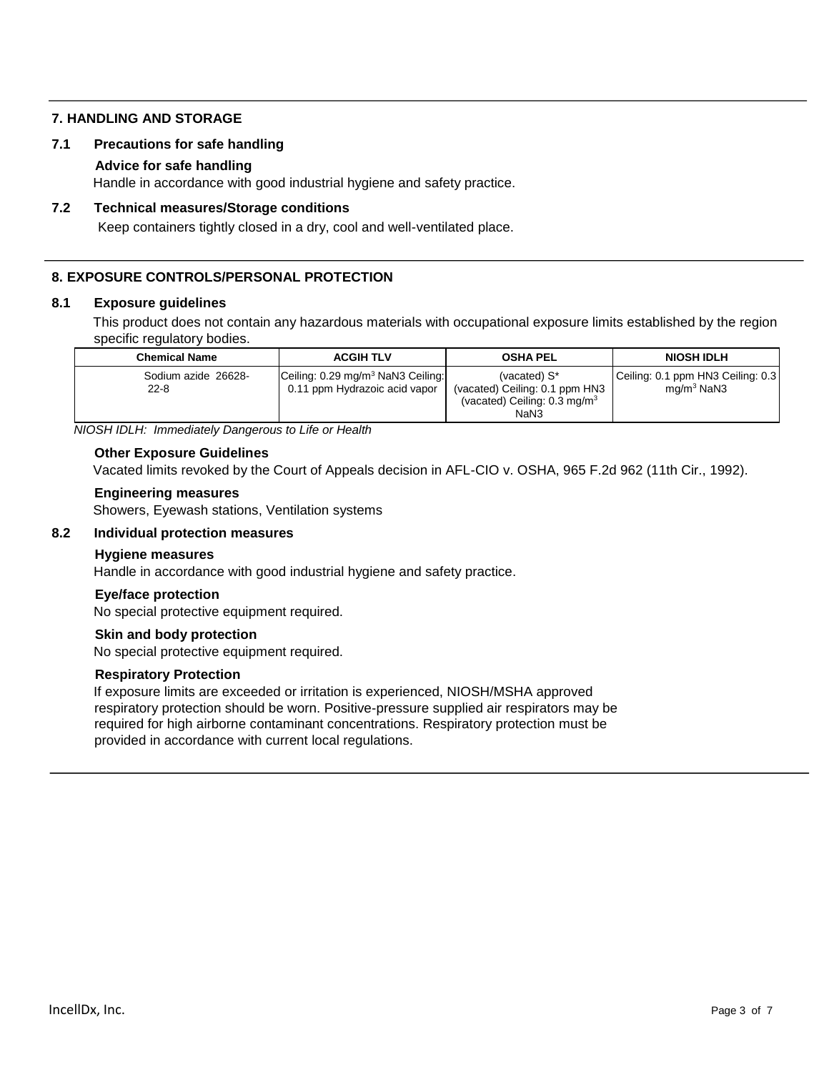# **7. HANDLING AND STORAGE**

# **7.1 Precautions for safe handling**

### **Advice for safe handling**

Handle in accordance with good industrial hygiene and safety practice.

# **7.2 Technical measures/Storage conditions**

Keep containers tightly closed in a dry, cool and well-ventilated place.

# **8. EXPOSURE CONTROLS/PERSONAL PROTECTION**

#### **8.1 Exposure guidelines**

This product does not contain any hazardous materials with occupational exposure limits established by the region specific regulatory bodies.

| <b>Chemical Name</b>            | <b>ACGIH TLV</b>                                                               | <b>OSHA PEL</b>                                                                                   | <b>NIOSH IDLH</b>                                 |
|---------------------------------|--------------------------------------------------------------------------------|---------------------------------------------------------------------------------------------------|---------------------------------------------------|
| Sodium azide 26628-<br>$22 - 8$ | Ceiling: 0.29 mg/m <sup>3</sup> NaN3 Ceiling:<br>0.11 ppm Hydrazoic acid vapor | (vacated) S*<br>(vacated) Ceiling: 0.1 ppm HN3<br>(vacated) Ceiling: $0.3 \text{ mg/m}^3$<br>NaN3 | Ceiling: 0.1 ppm HN3 Ceiling: 0.3<br>$ma/m3$ NaN3 |

*NIOSH IDLH: Immediately Dangerous to Life or Health*

#### **Other Exposure Guidelines**

Vacated limits revoked by the Court of Appeals decision in AFL-CIO v. OSHA, 965 F.2d 962 (11th Cir., 1992).

#### **Engineering measures**

Showers, Eyewash stations, Ventilation systems

# **8.2 Individual protection measures**

#### **Hygiene measures**

Handle in accordance with good industrial hygiene and safety practice.

#### **Eye/face protection**

No special protective equipment required.

#### **Skin and body protection**

No special protective equipment required.

#### **Respiratory Protection**

If exposure limits are exceeded or irritation is experienced, NIOSH/MSHA approved respiratory protection should be worn. Positive-pressure supplied air respirators may be required for high airborne contaminant concentrations. Respiratory protection must be provided in accordance with current local regulations.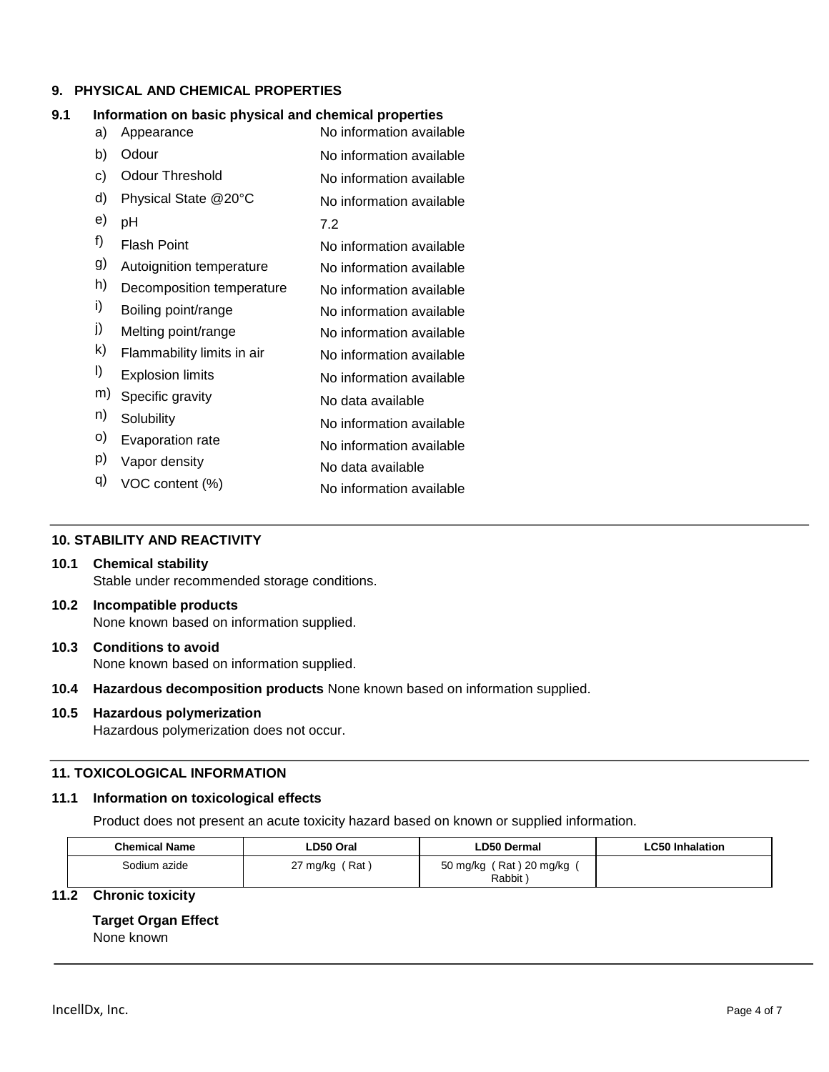# **9. PHYSICAL AND CHEMICAL PROPERTIES**

#### **9.1 Information on basic physical and chemical properties**

| a) | Appearance                 | No information available |
|----|----------------------------|--------------------------|
| b) | Odour                      | No information available |
| c) | Odour Threshold            | No information available |
| d) | Physical State @20°C       | No information available |
| e) | рH                         | 7.2                      |
| f) | <b>Flash Point</b>         | No information available |
| g) | Autoignition temperature   | No information available |
| h) | Decomposition temperature  | No information available |
| i) | Boiling point/range        | No information available |
| j) | Melting point/range        | No information available |
| k) | Flammability limits in air | No information available |
| I) | <b>Explosion limits</b>    | No information available |
| m) | Specific gravity           | No data available        |
| n) | Solubility                 | No information available |
| o) | Evaporation rate           | No information available |
| p) | Vapor density              | No data available        |
| q) | VOC content (%)            | No information available |

#### **10. STABILITY AND REACTIVITY**

#### **10.1 Chemical stability** Stable under recommended storage conditions.

- **10.2 Incompatible products** None known based on information supplied.
- **10.3 Conditions to avoid** None known based on information supplied.
- **10.4 Hazardous decomposition products** None known based on information supplied.

# **10.5 Hazardous polymerization**

Hazardous polymerization does not occur.

# **11. TOXICOLOGICAL INFORMATION**

#### **11.1 Information on toxicological effects**

Product does not present an acute toxicity hazard based on known or supplied information.

| <b>Chemical Name</b><br>LD50 Oral |                    | <b>LD50 Dermal</b>                | <b>LC50 Inhalation</b> |
|-----------------------------------|--------------------|-----------------------------------|------------------------|
| Sodium azide                      | 27 mg/kg<br>( Rat⊹ | 50 mg/kg (Rat) 20 mg/kg<br>Rabbit |                        |

# **11.2 Chronic toxicity**

**Target Organ Effect** None known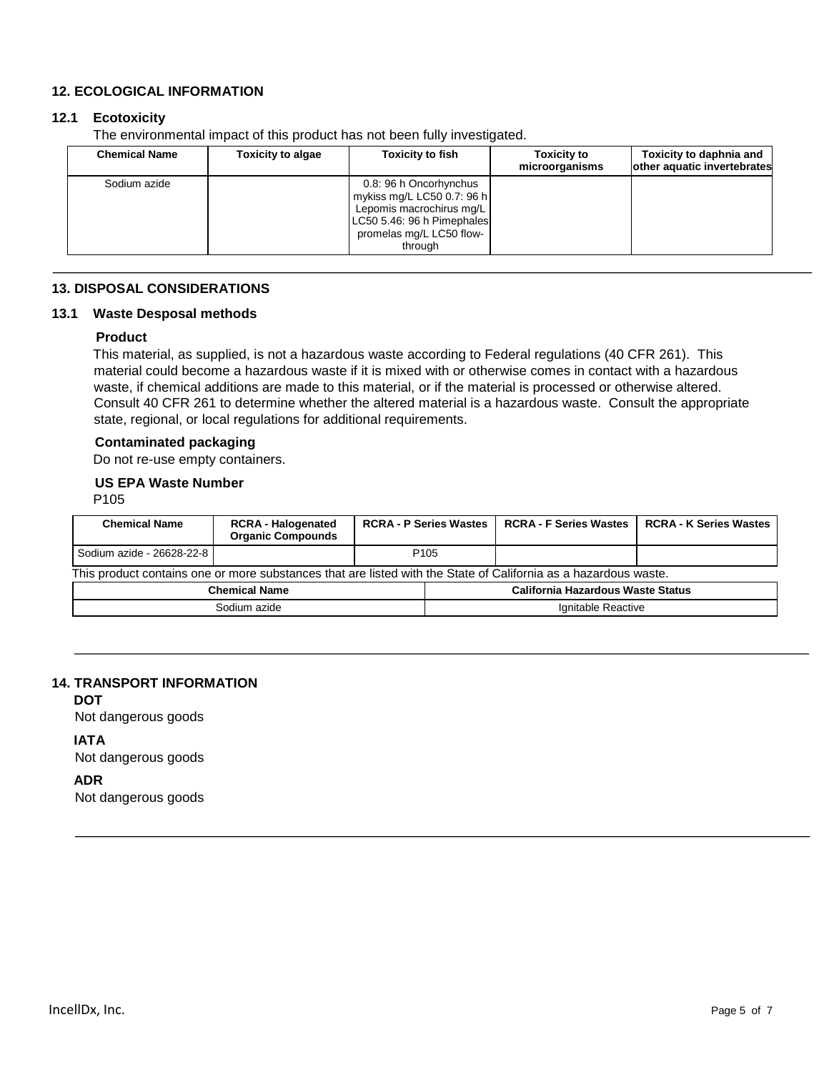# **12. ECOLOGICAL INFORMATION**

# **12.1 Ecotoxicity**

The environmental impact of this product has not been fully investigated.

| <b>Chemical Name</b> | <b>Toxicity to algae</b> | <b>Toxicity to fish</b>                                                                                                                               | <b>Toxicity to</b><br>microorganisms | Toxicity to daphnia and<br>other aquatic invertebrates |
|----------------------|--------------------------|-------------------------------------------------------------------------------------------------------------------------------------------------------|--------------------------------------|--------------------------------------------------------|
| Sodium azide         |                          | 0.8: 96 h Oncorhynchus<br>mykiss mg/L LC50 0.7: 96 h<br>Lepomis macrochirus mg/L<br>LC50 5.46: 96 h Pimephales<br>promelas mg/L LC50 flow-<br>through |                                      |                                                        |

# **13. DISPOSAL CONSIDERATIONS**

# **13.1 Waste Desposal methods**

# **Product**

This material, as supplied, is not a hazardous waste according to Federal regulations (40 CFR 261). This material could become a hazardous waste if it is mixed with or otherwise comes in contact with a hazardous waste, if chemical additions are made to this material, or if the material is processed or otherwise altered. Consult 40 CFR 261 to determine whether the altered material is a hazardous waste. Consult the appropriate state, regional, or local regulations for additional requirements.

# **Contaminated packaging**

Do not re-use empty containers.

#### **US EPA Waste Number**

P105

| <b>Chemical Name</b>                                                                                            | <b>RCRA - Halogenated</b><br><b>Organic Compounds</b> | <b>RCRA - P Series Wastes</b> |  | <b>RCRA - F Series Wastes</b> | <b>RCRA - K Series Wastes</b> |  |  |
|-----------------------------------------------------------------------------------------------------------------|-------------------------------------------------------|-------------------------------|--|-------------------------------|-------------------------------|--|--|
| Sodium azide - 26628-22-8                                                                                       |                                                       | P <sub>105</sub>              |  |                               |                               |  |  |
| This product contains one or more substances that are listed with the State of California as a hazardous waste. |                                                       |                               |  |                               |                               |  |  |
| California Hazardous Waste Status<br><b>Chemical Name</b>                                                       |                                                       |                               |  |                               |                               |  |  |
| Sodium azide                                                                                                    |                                                       |                               |  | Ignitable Reactive            |                               |  |  |

#### **14. TRANSPORT INFORMATION**

**DOT**

Not dangerous goods

#### **IATA**

Not dangerous goods

### **ADR**

Not dangerous goods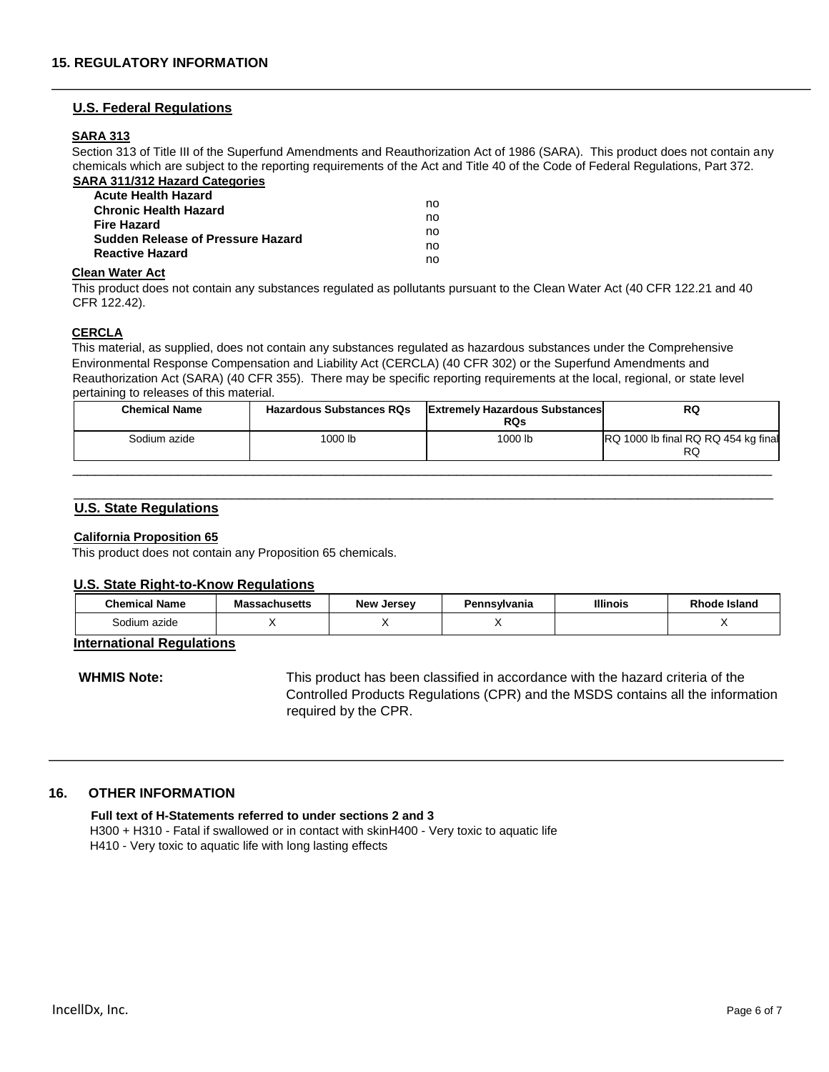#### **U.S. Federal Regulations**

#### **SARA 313**

Section 313 of Title III of the Superfund Amendments and Reauthorization Act of 1986 (SARA). This product does not contain any chemicals which are subject to the reporting requirements of the Act and Title 40 of the Code of Federal Regulations, Part 372. **SARA 311/312 Hazard Categories** 

| <b>Acute Health Hazard</b>        |    |
|-----------------------------------|----|
| <b>Chronic Health Hazard</b>      | no |
| <b>Fire Hazard</b>                | no |
| Sudden Release of Pressure Hazard | no |
|                                   | no |
| <b>Reactive Hazard</b>            | no |

#### **Clean Water Act**

This product does not contain any substances regulated as pollutants pursuant to the Clean Water Act (40 CFR 122.21 and 40 CFR 122.42).

#### **CERCLA**

This material, as supplied, does not contain any substances regulated as hazardous substances under the Comprehensive Environmental Response Compensation and Liability Act (CERCLA) (40 CFR 302) or the Superfund Amendments and Reauthorization Act (SARA) (40 CFR 355). There may be specific reporting requirements at the local, regional, or state level pertaining to releases of this material.

| <b>Chemical Name</b> | <b>Hazardous Substances RQs</b> | <b>Extremely Hazardous Substances</b><br><b>RQs</b> | <b>RQ</b>                                 |
|----------------------|---------------------------------|-----------------------------------------------------|-------------------------------------------|
| Sodium azide         | 1000 lb                         | 1000 lb                                             | RQ 1000 lb final RQ RQ 454 kg final<br>RQ |
|                      |                                 |                                                     |                                           |

\_\_\_\_\_\_\_\_\_\_\_\_\_\_\_\_\_\_\_\_\_\_\_\_\_\_\_\_\_\_\_\_\_\_\_\_\_\_\_\_\_\_\_\_\_\_\_\_\_\_\_\_\_\_\_\_\_\_\_\_\_\_\_\_\_\_\_\_\_\_\_\_\_\_\_\_\_\_\_\_\_\_\_\_\_\_\_\_\_\_\_\_\_

#### **U.S. State Regulations**

#### **California Proposition 65**

This product does not contain any Proposition 65 chemicals.

#### **U.S. State Right-to-Know Regulations**

| <b>Chemical Name</b> | <b>Massachusetts</b> | <b>New Jersey</b> | Pennsvlvania | <b>Illinois</b> | Rhode Island |
|----------------------|----------------------|-------------------|--------------|-----------------|--------------|
| Sodium azide         |                      |                   |              |                 |              |

#### **International Regulations**

**WHMIS Note:** This product has been classified in accordance with the hazard criteria of the Controlled Products Regulations (CPR) and the MSDS contains all the information required by the CPR.

#### **16. OTHER INFORMATION**

#### **Full text of H-Statements referred to under sections 2 and 3**

H300 + H310 - Fatal if swallowed or in contact with skinH400 - Very toxic to aquatic life H410 - Very toxic to aquatic life with long lasting effects